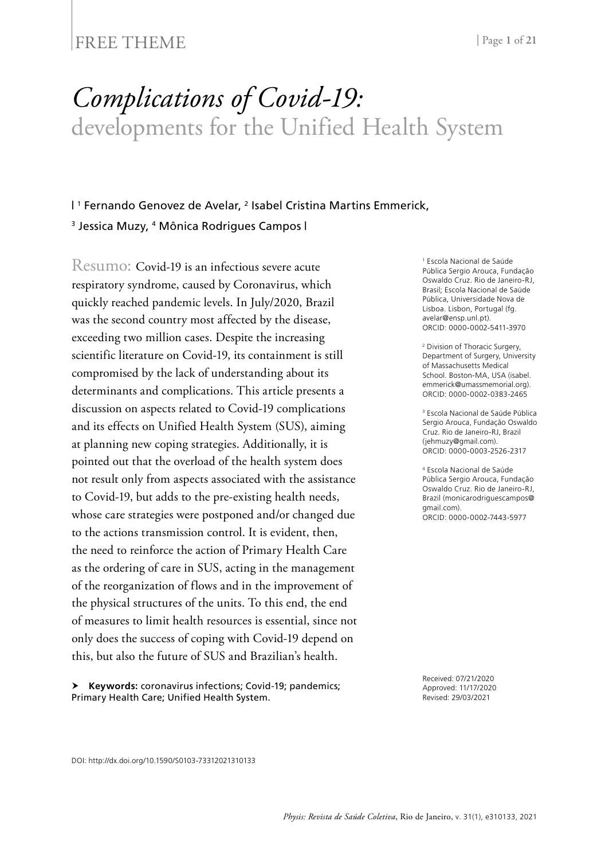## FREE THEME | Page 1 of 21

# *Complications of Covid-19:* developments for the Unified Health System

#### | 1 Fernando Genovez de Avelar, 2 Isabel Cristina Martins Emmerick, <sup>3</sup> Jessica Muzy, <sup>4</sup> Mônica Rodrigues Campos I

Resumo: Covid-19 is an infectious severe acute respiratory syndrome, caused by Coronavirus, which quickly reached pandemic levels. In July/2020, Brazil was the second country most affected by the disease, exceeding two million cases. Despite the increasing scientific literature on Covid-19, its containment is still compromised by the lack of understanding about its determinants and complications. This article presents a discussion on aspects related to Covid-19 complications and its effects on Unified Health System (SUS), aiming at planning new coping strategies. Additionally, it is pointed out that the overload of the health system does not result only from aspects associated with the assistance to Covid-19, but adds to the pre-existing health needs, whose care strategies were postponed and/or changed due to the actions transmission control. It is evident, then, the need to reinforce the action of Primary Health Care as the ordering of care in SUS, acting in the management of the reorganization of flows and in the improvement of the physical structures of the units. To this end, the end of measures to limit health resources is essential, since not only does the success of coping with Covid-19 depend on this, but also the future of SUS and Brazilian's health.

 **Keywords:** coronavirus infections; Covid-19; pandemics; Primary Health Care; Unified Health System.

1 Escola Nacional de Saúde Pública Sergio Arouca, Fundação Oswaldo Cruz. Rio de Janeiro-RJ, Brasil; Escola Nacional de Saúde Pública, Universidade Nova de Lisboa. Lisbon, Portugal ([fg.](mailto:fg.avelar@ensp.unl.pt) [avelar@ensp.unl.pt\)](mailto:fg.avelar@ensp.unl.pt). ORCID: 0000-0002-5411-3970

2 Division of Thoracic Surgery, Department of Surgery, University of Massachusetts Medical School. Boston-MA, USA ([isabel.](mailto:isabel.emmerick@umassmemorial.org) [emmerick@umassmemorial.org](mailto:isabel.emmerick@umassmemorial.org)). ORCID: 0000-0002-0383-2465

3 Escola Nacional de Saúde Pública Sergio Arouca, Fundação Oswaldo Cruz. Rio de Janeiro-RJ, Brazil ([jehmuzy@gmail.com\)](mailto:jehmuzy@gmail.com). ORCID: 0000-0003-2526-2317

4 Escola Nacional de Saúde Pública Sergio Arouca, Fundação Oswaldo Cruz. Rio de Janeiro-RJ, Brazil [\(monicarodriguescampos@](mailto:monicarodriguescampos@gmail.com) [gmail.com](mailto:monicarodriguescampos@gmail.com)). ORCID: 0000-0002-7443-5977

Received: 07/21/2020 Approved: 11/17/2020 Revised: 29/03/2021

DOI: http://dx.doi.org/10.1590/S0103-73312021310133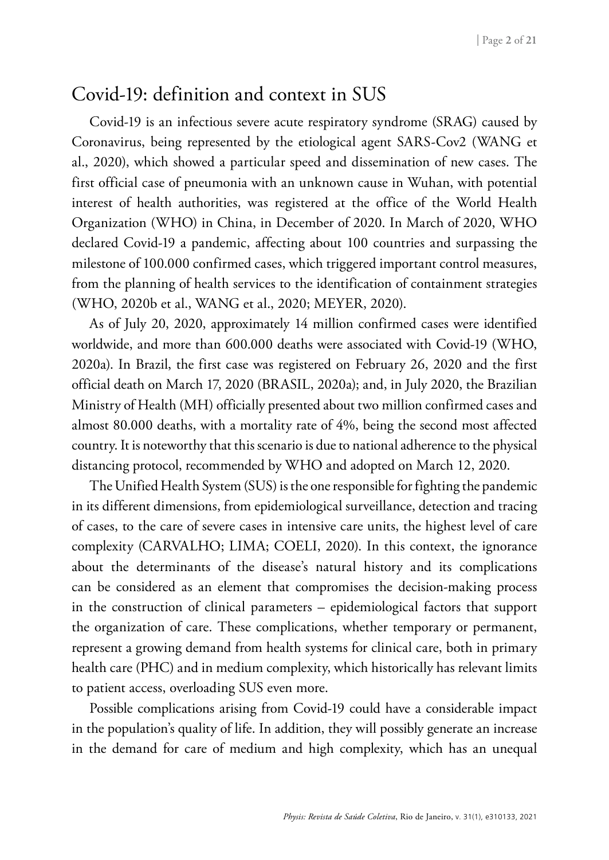### Covid-19: definition and context in SUS

Covid-19 is an infectious severe acute respiratory syndrome (SRAG) caused by Coronavirus, being represented by the etiological agent SARS-Cov2 (WANG et al., 2020), which showed a particular speed and dissemination of new cases. The first official case of pneumonia with an unknown cause in Wuhan, with potential interest of health authorities, was registered at the office of the World Health Organization (WHO) in China, in December of 2020. In March of 2020, WHO declared Covid-19 a pandemic, affecting about 100 countries and surpassing the milestone of 100.000 confirmed cases, which triggered important control measures, from the planning of health services to the identification of containment strategies (WHO, 2020b et al., WANG et al., 2020; MEYER, 2020).

As of July 20, 2020, approximately 14 million confirmed cases were identified worldwide, and more than 600.000 deaths were associated with Covid-19 (WHO, 2020a). In Brazil, the first case was registered on February 26, 2020 and the first official death on March 17, 2020 (BRASIL, 2020a); and, in July 2020, the Brazilian Ministry of Health (MH) officially presented about two million confirmed cases and almost 80.000 deaths, with a mortality rate of 4%, being the second most affected country. It is noteworthy that this scenario is due to national adherence to the physical distancing protocol, recommended by WHO and adopted on March 12, 2020.

The Unified Health System (SUS) is the one responsible for fighting the pandemic in its different dimensions, from epidemiological surveillance, detection and tracing of cases, to the care of severe cases in intensive care units, the highest level of care complexity (CARVALHO; LIMA; COELI, 2020). In this context, the ignorance about the determinants of the disease's natural history and its complications can be considered as an element that compromises the decision-making process in the construction of clinical parameters – epidemiological factors that support the organization of care. These complications, whether temporary or permanent, represent a growing demand from health systems for clinical care, both in primary health care (PHC) and in medium complexity, which historically has relevant limits to patient access, overloading SUS even more.

Possible complications arising from Covid-19 could have a considerable impact in the population's quality of life. In addition, they will possibly generate an increase in the demand for care of medium and high complexity, which has an unequal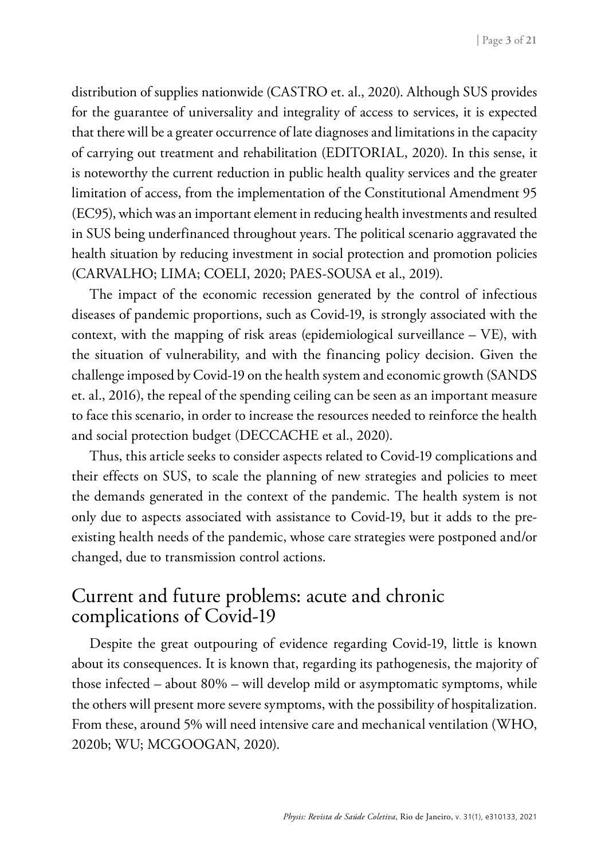distribution of supplies nationwide (CASTRO et. al., 2020). Although SUS provides for the guarantee of universality and integrality of access to services, it is expected that there will be a greater occurrence of late diagnoses and limitations in the capacity of carrying out treatment and rehabilitation (EDITORIAL, 2020). In this sense, it is noteworthy the current reduction in public health quality services and the greater limitation of access, from the implementation of the Constitutional Amendment 95 (EC95), which was an important element in reducing health investments and resulted in SUS being underfinanced throughout years. The political scenario aggravated the health situation by reducing investment in social protection and promotion policies (CARVALHO; LIMA; COELI, 2020; PAES-SOUSA et al., 2019).

The impact of the economic recession generated by the control of infectious diseases of pandemic proportions, such as Covid-19, is strongly associated with the context, with the mapping of risk areas (epidemiological surveillance  $-$  VE), with the situation of vulnerability, and with the financing policy decision. Given the challenge imposed by Covid-19 on the health system and economic growth (SANDS et. al., 2016), the repeal of the spending ceiling can be seen as an important measure to face this scenario, in order to increase the resources needed to reinforce the health and social protection budget (DECCACHE et al., 2020).

Thus, this article seeks to consider aspects related to Covid-19 complications and their effects on SUS, to scale the planning of new strategies and policies to meet the demands generated in the context of the pandemic. The health system is not only due to aspects associated with assistance to Covid-19, but it adds to the preexisting health needs of the pandemic, whose care strategies were postponed and/or changed, due to transmission control actions.

# Current and future problems: acute and chronic complications of Covid-19

Despite the great outpouring of evidence regarding Covid-19, little is known about its consequences. It is known that, regarding its pathogenesis, the majority of those infected – about 80% – will develop mild or asymptomatic symptoms, while the others will present more severe symptoms, with the possibility of hospitalization. From these, around 5% will need intensive care and mechanical ventilation (WHO, 2020b; WU; MCGOOGAN, 2020).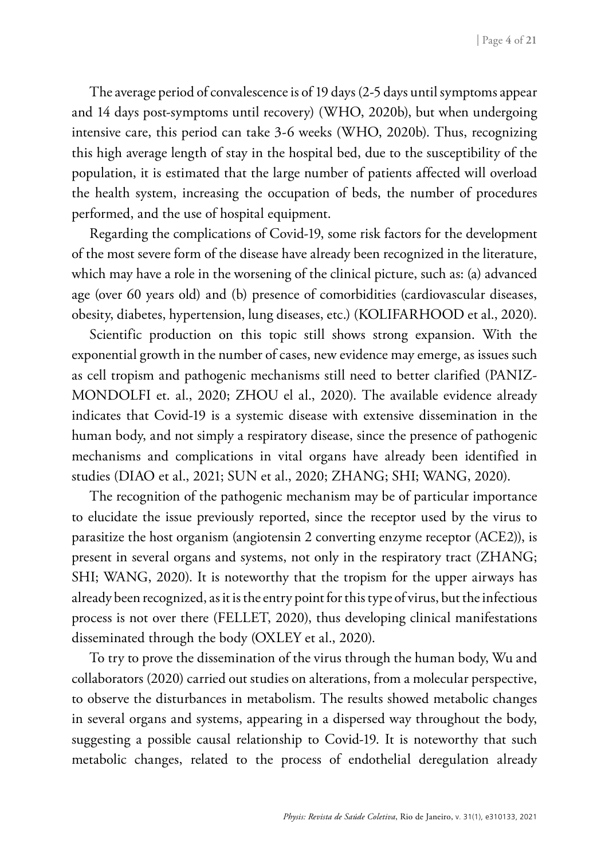The average period of convalescence is of 19 days (2-5 days until symptoms appear and 14 days post-symptoms until recovery) (WHO, 2020b), but when undergoing intensive care, this period can take 3-6 weeks (WHO, 2020b). Thus, recognizing this high average length of stay in the hospital bed, due to the susceptibility of the population, it is estimated that the large number of patients affected will overload the health system, increasing the occupation of beds, the number of procedures performed, and the use of hospital equipment.

Regarding the complications of Covid-19, some risk factors for the development of the most severe form of the disease have already been recognized in the literature, which may have a role in the worsening of the clinical picture, such as: (a) advanced age (over 60 years old) and (b) presence of comorbidities (cardiovascular diseases, obesity, diabetes, hypertension, lung diseases, etc.) (KOLIFARHOOD et al., 2020).

Scientific production on this topic still shows strong expansion. With the exponential growth in the number of cases, new evidence may emerge, as issues such as cell tropism and pathogenic mechanisms still need to better clarified (PANIZ-MONDOLFI et. al., 2020; ZHOU el al., 2020). The available evidence already indicates that Covid-19 is a systemic disease with extensive dissemination in the human body, and not simply a respiratory disease, since the presence of pathogenic mechanisms and complications in vital organs have already been identified in studies (DIAO et al., 2021; SUN et al., 2020; ZHANG; SHI; WANG, 2020).

The recognition of the pathogenic mechanism may be of particular importance to elucidate the issue previously reported, since the receptor used by the virus to parasitize the host organism (angiotensin 2 converting enzyme receptor (ACE2)), is present in several organs and systems, not only in the respiratory tract (ZHANG; SHI; WANG, 2020). It is noteworthy that the tropism for the upper airways has already been recognized, as it is the entry point for this type of virus, but the infectious process is not over there (FELLET, 2020), thus developing clinical manifestations disseminated through the body (OXLEY et al., 2020).

To try to prove the dissemination of the virus through the human body, Wu and collaborators (2020) carried out studies on alterations, from a molecular perspective, to observe the disturbances in metabolism. The results showed metabolic changes in several organs and systems, appearing in a dispersed way throughout the body, suggesting a possible causal relationship to Covid-19. It is noteworthy that such metabolic changes, related to the process of endothelial deregulation already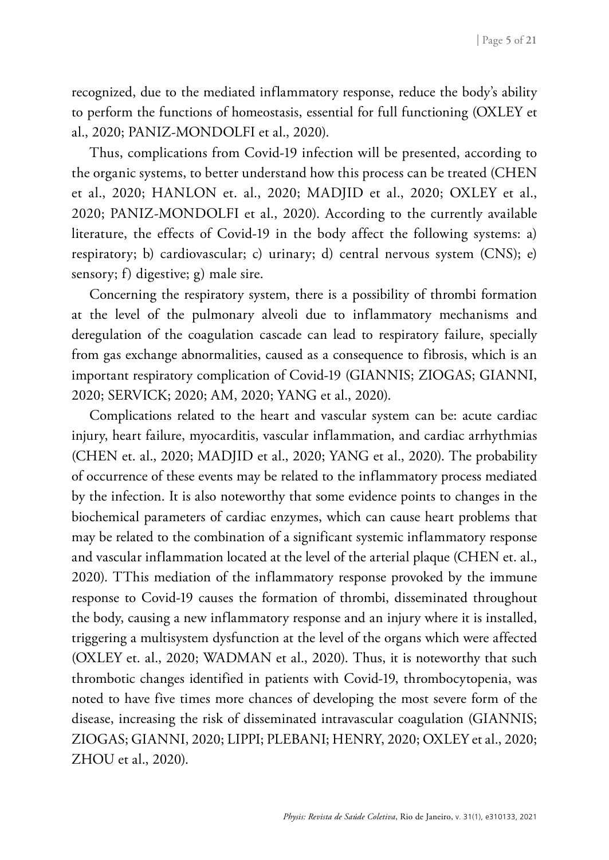recognized, due to the mediated inflammatory response, reduce the body's ability to perform the functions of homeostasis, essential for full functioning (OXLEY et al., 2020; PANIZ-MONDOLFI et al., 2020).

Thus, complications from Covid-19 infection will be presented, according to the organic systems, to better understand how this process can be treated (CHEN et al., 2020; HANLON et. al., 2020; MADJID et al., 2020; OXLEY et al., 2020; PANIZ-MONDOLFI et al., 2020). According to the currently available literature, the effects of Covid-19 in the body affect the following systems: a) respiratory; b) cardiovascular; c) urinary; d) central nervous system (CNS); e) sensory; f) digestive; g) male sire.

Concerning the respiratory system, there is a possibility of thrombi formation at the level of the pulmonary alveoli due to inflammatory mechanisms and deregulation of the coagulation cascade can lead to respiratory failure, specially from gas exchange abnormalities, caused as a consequence to fibrosis, which is an important respiratory complication of Covid-19 (GIANNIS; ZIOGAS; GIANNI, 2020; SERVICK; 2020; AM, 2020; YANG et al., 2020).

Complications related to the heart and vascular system can be: acute cardiac injury, heart failure, myocarditis, vascular inflammation, and cardiac arrhythmias (CHEN et. al., 2020; MADJID et al., 2020; YANG et al., 2020). The probability of occurrence of these events may be related to the inflammatory process mediated by the infection. It is also noteworthy that some evidence points to changes in the biochemical parameters of cardiac enzymes, which can cause heart problems that may be related to the combination of a significant systemic inflammatory response and vascular inflammation located at the level of the arterial plaque (CHEN et. al., 2020). TThis mediation of the inflammatory response provoked by the immune response to Covid-19 causes the formation of thrombi, disseminated throughout the body, causing a new inflammatory response and an injury where it is installed, triggering a multisystem dysfunction at the level of the organs which were affected (OXLEY et. al., 2020; WADMAN et al., 2020). Thus, it is noteworthy that such thrombotic changes identified in patients with Covid-19, thrombocytopenia, was noted to have five times more chances of developing the most severe form of the disease, increasing the risk of disseminated intravascular coagulation (GIANNIS; ZIOGAS; GIANNI, 2020; LIPPI; PLEBANI; HENRY, 2020; OXLEY et al., 2020; ZHOU et al., 2020).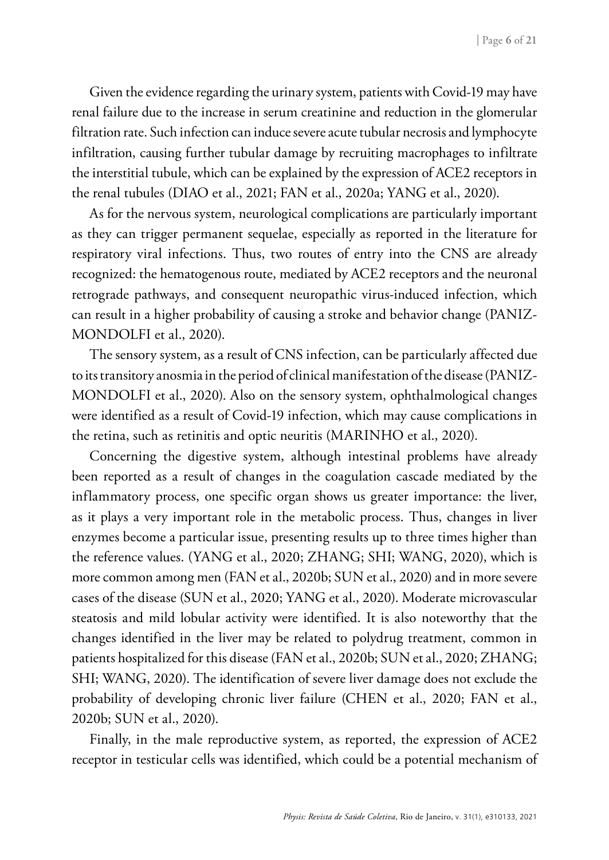Given the evidence regarding the urinary system, patients with Covid-19 may have renal failure due to the increase in serum creatinine and reduction in the glomerular filtration rate. Such infection can induce severe acute tubular necrosis and lymphocyte infiltration, causing further tubular damage by recruiting macrophages to infiltrate the interstitial tubule, which can be explained by the expression of ACE2 receptors in the renal tubules (DIAO et al., 2021; FAN et al., 2020a; YANG et al., 2020).

As for the nervous system, neurological complications are particularly important as they can trigger permanent sequelae, especially as reported in the literature for respiratory viral infections. Thus, two routes of entry into the CNS are already recognized: the hematogenous route, mediated by ACE2 receptors and the neuronal retrograde pathways, and consequent neuropathic virus-induced infection, which can result in a higher probability of causing a stroke and behavior change (PANIZ-MONDOLFI et al., 2020).

The sensory system, as a result of CNS infection, can be particularly affected due to its transitory anosmia in the period of clinical manifestation of the disease (PANIZ-MONDOLFI et al., 2020). Also on the sensory system, ophthalmological changes were identified as a result of Covid-19 infection, which may cause complications in the retina, such as retinitis and optic neuritis (MARINHO et al., 2020).

Concerning the digestive system, although intestinal problems have already been reported as a result of changes in the coagulation cascade mediated by the inflammatory process, one specific organ shows us greater importance: the liver, as it plays a very important role in the metabolic process. Thus, changes in liver enzymes become a particular issue, presenting results up to three times higher than the reference values. (YANG et al., 2020; ZHANG; SHI; WANG, 2020), which is more common among men (FAN et al., 2020b; SUN et al., 2020) and in more severe cases of the disease (SUN et al., 2020; YANG et al., 2020). Moderate microvascular steatosis and mild lobular activity were identified. It is also noteworthy that the changes identified in the liver may be related to polydrug treatment, common in patients hospitalized for this disease (FAN et al., 2020b; SUN et al., 2020; ZHANG; SHI; WANG, 2020). The identification of severe liver damage does not exclude the probability of developing chronic liver failure (CHEN et al., 2020; FAN et al., 2020b; SUN et al., 2020).

Finally, in the male reproductive system, as reported, the expression of ACE2 receptor in testicular cells was identified, which could be a potential mechanism of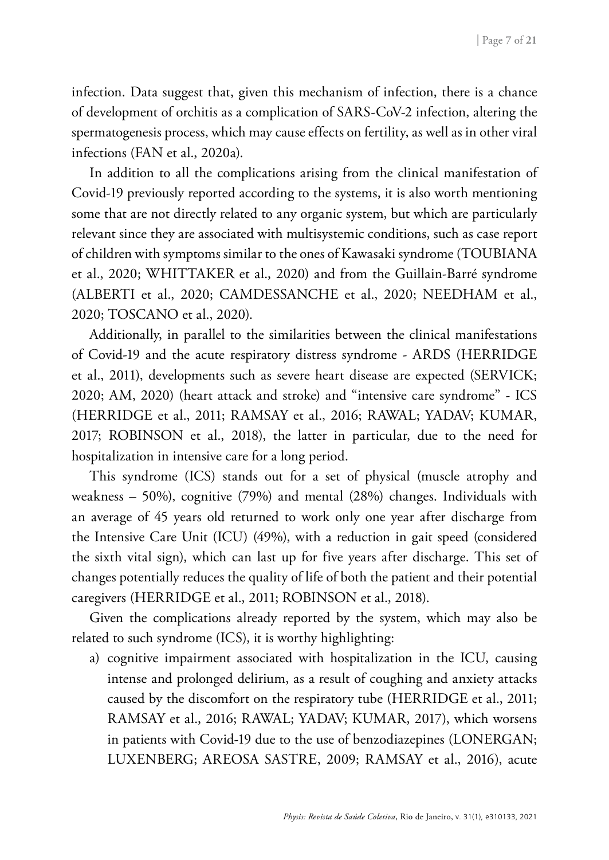infection. Data suggest that, given this mechanism of infection, there is a chance of development of orchitis as a complication of SARS-CoV-2 infection, altering the spermatogenesis process, which may cause effects on fertility, as well as in other viral infections (FAN et al., 2020a).

In addition to all the complications arising from the clinical manifestation of Covid-19 previously reported according to the systems, it is also worth mentioning some that are not directly related to any organic system, but which are particularly relevant since they are associated with multisystemic conditions, such as case report of children with symptoms similar to the ones of Kawasaki syndrome (TOUBIANA et al., 2020; WHITTAKER et al., 2020) and from the Guillain-Barré syndrome (ALBERTI et al., 2020; CAMDESSANCHE et al., 2020; NEEDHAM et al., 2020; TOSCANO et al., 2020).

Additionally, in parallel to the similarities between the clinical manifestations of Covid-19 and the acute respiratory distress syndrome - ARDS (HERRIDGE et al., 2011), developments such as severe heart disease are expected (SERVICK; 2020; AM, 2020) (heart attack and stroke) and "intensive care syndrome" - ICS (HERRIDGE et al., 2011; RAMSAY et al., 2016; RAWAL; YADAV; KUMAR, 2017; ROBINSON et al., 2018), the latter in particular, due to the need for hospitalization in intensive care for a long period.

This syndrome (ICS) stands out for a set of physical (muscle atrophy and weakness – 50%), cognitive (79%) and mental (28%) changes. Individuals with an average of 45 years old returned to work only one year after discharge from the Intensive Care Unit (ICU) (49%), with a reduction in gait speed (considered the sixth vital sign), which can last up for five years after discharge. This set of changes potentially reduces the quality of life of both the patient and their potential caregivers (HERRIDGE et al., 2011; ROBINSON et al., 2018).

Given the complications already reported by the system, which may also be related to such syndrome (ICS), it is worthy highlighting:

a) cognitive impairment associated with hospitalization in the ICU, causing intense and prolonged delirium, as a result of coughing and anxiety attacks caused by the discomfort on the respiratory tube (HERRIDGE et al., 2011; RAMSAY et al., 2016; RAWAL; YADAV; KUMAR, 2017), which worsens in patients with Covid-19 due to the use of benzodiazepines (LONERGAN; LUXENBERG; AREOSA SASTRE, 2009; RAMSAY et al., 2016), acute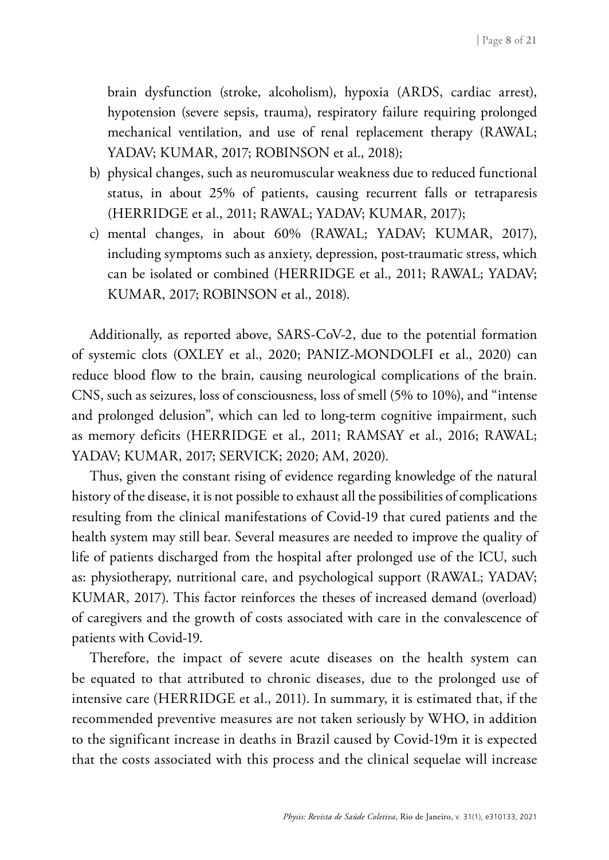brain dysfunction (stroke, alcoholism), hypoxia (ARDS, cardiac arrest), hypotension (severe sepsis, trauma), respiratory failure requiring prolonged mechanical ventilation, and use of renal replacement therapy (RAWAL; YADAV; KUMAR, 2017; ROBINSON et al., 2018);

- b) physical changes, such as neuromuscular weakness due to reduced functional status, in about 25% of patients, causing recurrent falls or tetraparesis (HERRIDGE et al., 2011; RAWAL; YADAV; KUMAR, 2017);
- c) mental changes, in about 60% (RAWAL; YADAV; KUMAR, 2017), including symptoms such as anxiety, depression, post-traumatic stress, which can be isolated or combined (HERRIDGE et al., 2011; RAWAL; YADAV; KUMAR, 2017; ROBINSON et al., 2018).

Additionally, as reported above, SARS-CoV-2, due to the potential formation of systemic clots (OXLEY et al., 2020; PANIZ-MONDOLFI et al., 2020) can reduce blood flow to the brain, causing neurological complications of the brain. CNS, such as seizures, loss of consciousness, loss of smell (5% to 10%), and "intense and prolonged delusion", which can led to long-term cognitive impairment, such as memory deficits (HERRIDGE et al., 2011; RAMSAY et al., 2016; RAWAL; YADAV; KUMAR, 2017; SERVICK; 2020; AM, 2020).

Thus, given the constant rising of evidence regarding knowledge of the natural history of the disease, it is not possible to exhaust all the possibilities of complications resulting from the clinical manifestations of Covid-19 that cured patients and the health system may still bear. Several measures are needed to improve the quality of life of patients discharged from the hospital after prolonged use of the ICU, such as: physiotherapy, nutritional care, and psychological support (RAWAL; YADAV; KUMAR, 2017). This factor reinforces the theses of increased demand (overload) of caregivers and the growth of costs associated with care in the convalescence of patients with Covid-19.

Therefore, the impact of severe acute diseases on the health system can be equated to that attributed to chronic diseases, due to the prolonged use of intensive care (HERRIDGE et al., 2011). In summary, it is estimated that, if the recommended preventive measures are not taken seriously by WHO, in addition to the significant increase in deaths in Brazil caused by Covid-19m it is expected that the costs associated with this process and the clinical sequelae will increase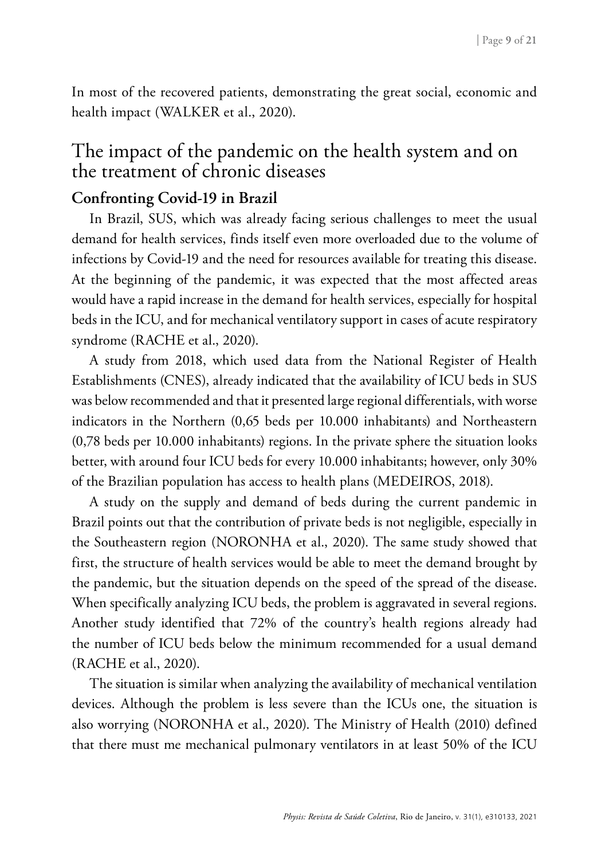In most of the recovered patients, demonstrating the great social, economic and health impact (WALKER et al., 2020).

## The impact of the pandemic on the health system and on the treatment of chronic diseases

#### **Confronting Covid-19 in Brazil**

In Brazil, SUS, which was already facing serious challenges to meet the usual demand for health services, finds itself even more overloaded due to the volume of infections by Covid-19 and the need for resources available for treating this disease. At the beginning of the pandemic, it was expected that the most affected areas would have a rapid increase in the demand for health services, especially for hospital beds in the ICU, and for mechanical ventilatory support in cases of acute respiratory syndrome (RACHE et al., 2020).

A study from 2018, which used data from the National Register of Health Establishments (CNES), already indicated that the availability of ICU beds in SUS was below recommended and that it presented large regional differentials, with worse indicators in the Northern (0,65 beds per 10.000 inhabitants) and Northeastern (0,78 beds per 10.000 inhabitants) regions. In the private sphere the situation looks better, with around four ICU beds for every 10.000 inhabitants; however, only 30% of the Brazilian population has access to health plans (MEDEIROS, 2018).

A study on the supply and demand of beds during the current pandemic in Brazil points out that the contribution of private beds is not negligible, especially in the Southeastern region (NORONHA et al., 2020). The same study showed that first, the structure of health services would be able to meet the demand brought by the pandemic, but the situation depends on the speed of the spread of the disease. When specifically analyzing ICU beds, the problem is aggravated in several regions. Another study identified that 72% of the country's health regions already had the number of ICU beds below the minimum recommended for a usual demand (RACHE et al., 2020).

The situation is similar when analyzing the availability of mechanical ventilation devices. Although the problem is less severe than the ICUs one, the situation is also worrying (NORONHA et al., 2020). The Ministry of Health (2010) defined that there must me mechanical pulmonary ventilators in at least 50% of the ICU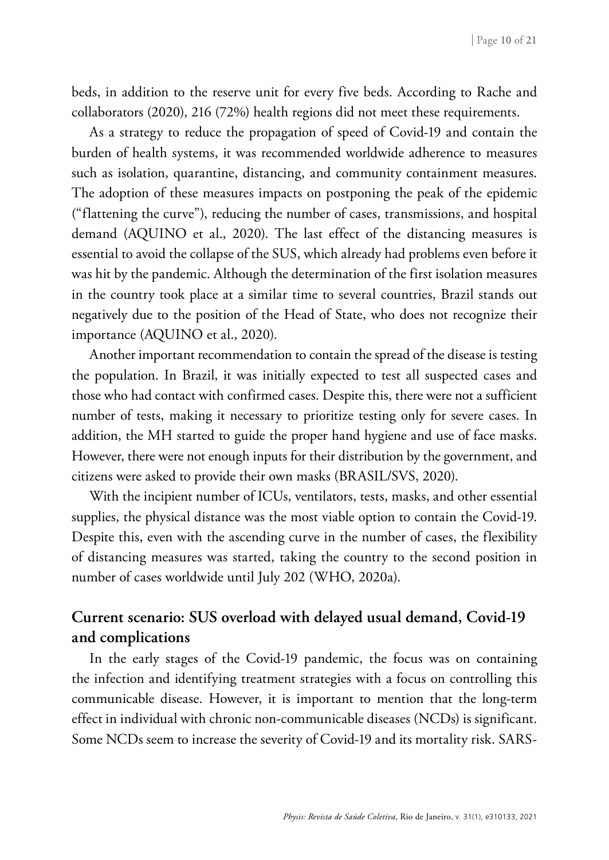beds, in addition to the reserve unit for every five beds. According to Rache and collaborators (2020), 216 (72%) health regions did not meet these requirements.

As a strategy to reduce the propagation of speed of Covid-19 and contain the burden of health systems, it was recommended worldwide adherence to measures such as isolation, quarantine, distancing, and community containment measures. The adoption of these measures impacts on postponing the peak of the epidemic ("flattening the curve"), reducing the number of cases, transmissions, and hospital demand (AQUINO et al., 2020). The last effect of the distancing measures is essential to avoid the collapse of the SUS, which already had problems even before it was hit by the pandemic. Although the determination of the first isolation measures in the country took place at a similar time to several countries, Brazil stands out negatively due to the position of the Head of State, who does not recognize their importance (AQUINO et al., 2020).

Another important recommendation to contain the spread of the disease is testing the population. In Brazil, it was initially expected to test all suspected cases and those who had contact with confirmed cases. Despite this, there were not a sufficient number of tests, making it necessary to prioritize testing only for severe cases. In addition, the MH started to guide the proper hand hygiene and use of face masks. However, there were not enough inputs for their distribution by the government, and citizens were asked to provide their own masks (BRASIL/SVS, 2020).

With the incipient number of ICUs, ventilators, tests, masks, and other essential supplies, the physical distance was the most viable option to contain the Covid-19. Despite this, even with the ascending curve in the number of cases, the flexibility of distancing measures was started, taking the country to the second position in number of cases worldwide until July 202 (WHO, 2020a).

#### **Current scenario: SUS overload with delayed usual demand, Covid-19 and complications**

In the early stages of the Covid-19 pandemic, the focus was on containing the infection and identifying treatment strategies with a focus on controlling this communicable disease. However, it is important to mention that the long-term effect in individual with chronic non-communicable diseases (NCDs) is significant. Some NCDs seem to increase the severity of Covid-19 and its mortality risk. SARS-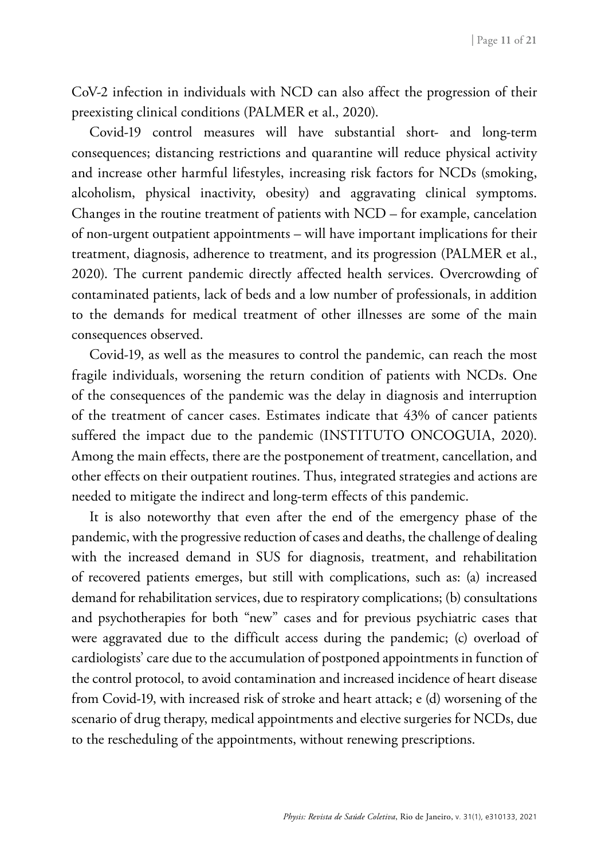CoV-2 infection in individuals with NCD can also affect the progression of their preexisting clinical conditions (PALMER et al., 2020).

Covid-19 control measures will have substantial short- and long-term consequences; distancing restrictions and quarantine will reduce physical activity and increase other harmful lifestyles, increasing risk factors for NCDs (smoking, alcoholism, physical inactivity, obesity) and aggravating clinical symptoms. Changes in the routine treatment of patients with NCD – for example, cancelation of non-urgent outpatient appointments – will have important implications for their treatment, diagnosis, adherence to treatment, and its progression (PALMER et al., 2020). The current pandemic directly affected health services. Overcrowding of contaminated patients, lack of beds and a low number of professionals, in addition to the demands for medical treatment of other illnesses are some of the main consequences observed.

Covid-19, as well as the measures to control the pandemic, can reach the most fragile individuals, worsening the return condition of patients with NCDs. One of the consequences of the pandemic was the delay in diagnosis and interruption of the treatment of cancer cases. Estimates indicate that 43% of cancer patients suffered the impact due to the pandemic (INSTITUTO ONCOGUIA, 2020). Among the main effects, there are the postponement of treatment, cancellation, and other effects on their outpatient routines. Thus, integrated strategies and actions are needed to mitigate the indirect and long-term effects of this pandemic.

It is also noteworthy that even after the end of the emergency phase of the pandemic, with the progressive reduction of cases and deaths, the challenge of dealing with the increased demand in SUS for diagnosis, treatment, and rehabilitation of recovered patients emerges, but still with complications, such as: (a) increased demand for rehabilitation services, due to respiratory complications; (b) consultations and psychotherapies for both "new" cases and for previous psychiatric cases that were aggravated due to the difficult access during the pandemic; (c) overload of cardiologists' care due to the accumulation of postponed appointments in function of the control protocol, to avoid contamination and increased incidence of heart disease from Covid-19, with increased risk of stroke and heart attack; e (d) worsening of the scenario of drug therapy, medical appointments and elective surgeries for NCDs, due to the rescheduling of the appointments, without renewing prescriptions.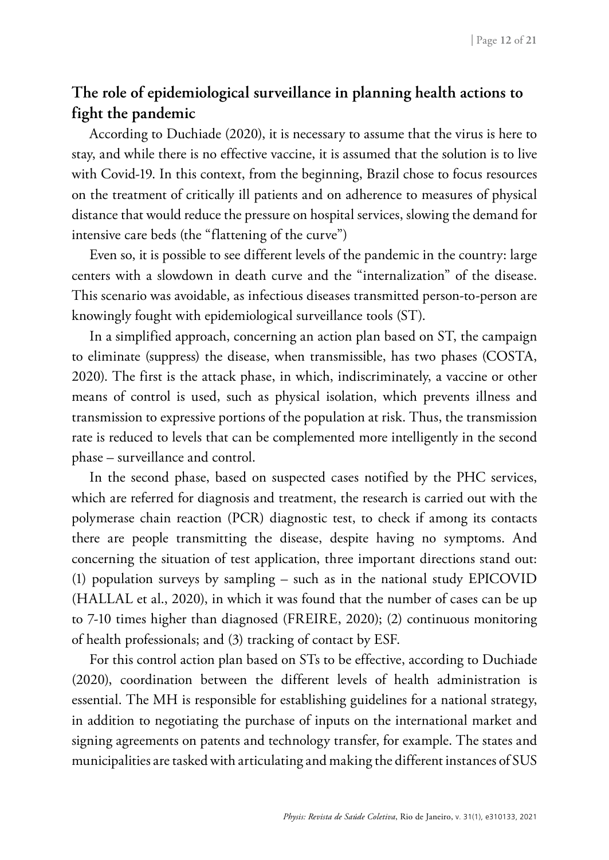## **The role of epidemiological surveillance in planning health actions to fight the pandemic**

According to Duchiade (2020), it is necessary to assume that the virus is here to stay, and while there is no effective vaccine, it is assumed that the solution is to live with Covid-19. In this context, from the beginning, Brazil chose to focus resources on the treatment of critically ill patients and on adherence to measures of physical distance that would reduce the pressure on hospital services, slowing the demand for intensive care beds (the "flattening of the curve")

Even so, it is possible to see different levels of the pandemic in the country: large centers with a slowdown in death curve and the "internalization" of the disease. This scenario was avoidable, as infectious diseases transmitted person-to-person are knowingly fought with epidemiological surveillance tools (ST).

In a simplified approach, concerning an action plan based on ST, the campaign to eliminate (suppress) the disease, when transmissible, has two phases (COSTA, 2020). The first is the attack phase, in which, indiscriminately, a vaccine or other means of control is used, such as physical isolation, which prevents illness and transmission to expressive portions of the population at risk. Thus, the transmission rate is reduced to levels that can be complemented more intelligently in the second phase – surveillance and control.

In the second phase, based on suspected cases notified by the PHC services, which are referred for diagnosis and treatment, the research is carried out with the polymerase chain reaction (PCR) diagnostic test, to check if among its contacts there are people transmitting the disease, despite having no symptoms. And concerning the situation of test application, three important directions stand out: (1) population surveys by sampling – such as in the national study EPICOVID (HALLAL et al., 2020), in which it was found that the number of cases can be up to 7-10 times higher than diagnosed (FREIRE, 2020); (2) continuous monitoring of health professionals; and (3) tracking of contact by ESF.

For this control action plan based on STs to be effective, according to Duchiade (2020), coordination between the different levels of health administration is essential. The MH is responsible for establishing guidelines for a national strategy, in addition to negotiating the purchase of inputs on the international market and signing agreements on patents and technology transfer, for example. The states and municipalities are tasked with articulating and making the different instances of SUS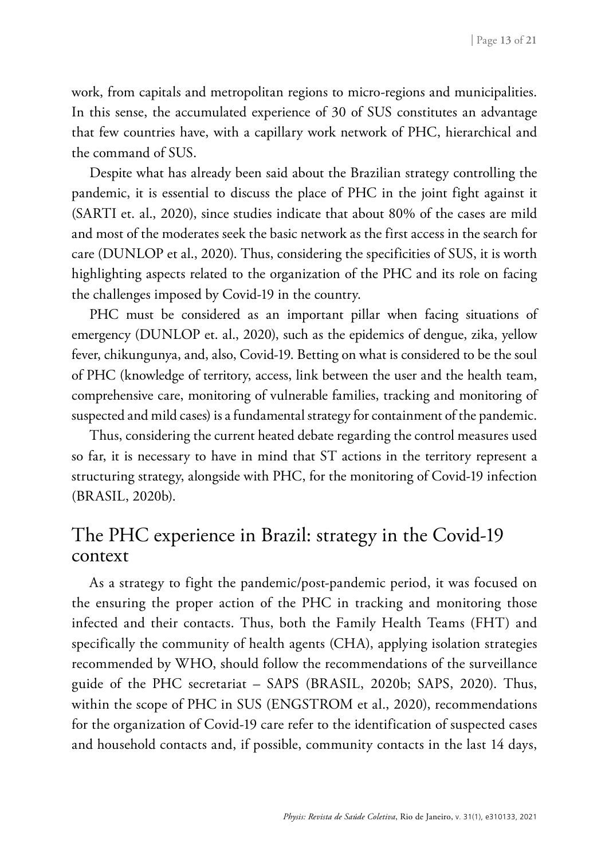work, from capitals and metropolitan regions to micro-regions and municipalities. In this sense, the accumulated experience of 30 of SUS constitutes an advantage that few countries have, with a capillary work network of PHC, hierarchical and the command of SUS.

Despite what has already been said about the Brazilian strategy controlling the pandemic, it is essential to discuss the place of PHC in the joint fight against it (SARTI et. al., 2020), since studies indicate that about 80% of the cases are mild and most of the moderates seek the basic network as the first access in the search for care (DUNLOP et al., 2020). Thus, considering the specificities of SUS, it is worth highlighting aspects related to the organization of the PHC and its role on facing the challenges imposed by Covid-19 in the country.

PHC must be considered as an important pillar when facing situations of emergency (DUNLOP et. al., 2020), such as the epidemics of dengue, zika, yellow fever, chikungunya, and, also, Covid-19. Betting on what is considered to be the soul of PHC (knowledge of territory, access, link between the user and the health team, comprehensive care, monitoring of vulnerable families, tracking and monitoring of suspected and mild cases) is a fundamental strategy for containment of the pandemic.

Thus, considering the current heated debate regarding the control measures used so far, it is necessary to have in mind that ST actions in the territory represent a structuring strategy, alongside with PHC, for the monitoring of Covid-19 infection (BRASIL, 2020b).

# The PHC experience in Brazil: strategy in the Covid-19 context

As a strategy to fight the pandemic/post-pandemic period, it was focused on the ensuring the proper action of the PHC in tracking and monitoring those infected and their contacts. Thus, both the Family Health Teams (FHT) and specifically the community of health agents (CHA), applying isolation strategies recommended by WHO, should follow the recommendations of the surveillance guide of the PHC secretariat – SAPS (BRASIL, 2020b; SAPS, 2020). Thus, within the scope of PHC in SUS (ENGSTROM et al., 2020), recommendations for the organization of Covid-19 care refer to the identification of suspected cases and household contacts and, if possible, community contacts in the last 14 days,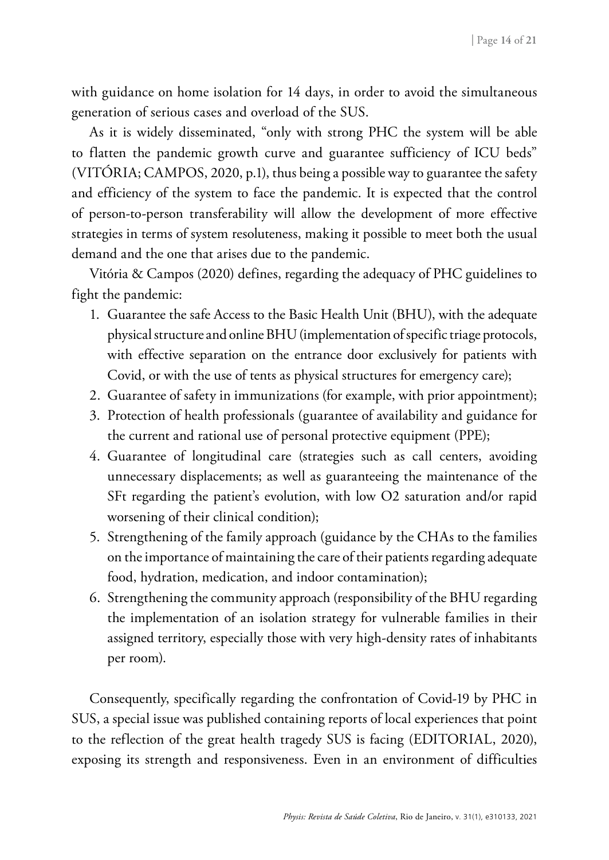with guidance on home isolation for 14 days, in order to avoid the simultaneous generation of serious cases and overload of the SUS.

As it is widely disseminated, "only with strong PHC the system will be able to flatten the pandemic growth curve and guarantee sufficiency of ICU beds" (VITÓRIA; CAMPOS, 2020, p.1), thus being a possible way to guarantee the safety and efficiency of the system to face the pandemic. It is expected that the control of person-to-person transferability will allow the development of more effective strategies in terms of system resoluteness, making it possible to meet both the usual demand and the one that arises due to the pandemic.

Vitória & Campos (2020) defines, regarding the adequacy of PHC guidelines to fight the pandemic:

- 1. Guarantee the safe Access to the Basic Health Unit (BHU), with the adequate physical structure and online BHU (implementation of specific triage protocols, with effective separation on the entrance door exclusively for patients with Covid, or with the use of tents as physical structures for emergency care);
- 2. Guarantee of safety in immunizations (for example, with prior appointment);
- 3. Protection of health professionals (guarantee of availability and guidance for the current and rational use of personal protective equipment (PPE);
- 4. Guarantee of longitudinal care (strategies such as call centers, avoiding unnecessary displacements; as well as guaranteeing the maintenance of the SFt regarding the patient's evolution, with low O2 saturation and/or rapid worsening of their clinical condition);
- 5. Strengthening of the family approach (guidance by the CHAs to the families on the importance of maintaining the care of their patients regarding adequate food, hydration, medication, and indoor contamination);
- 6. Strengthening the community approach (responsibility of the BHU regarding the implementation of an isolation strategy for vulnerable families in their assigned territory, especially those with very high-density rates of inhabitants per room).

Consequently, specifically regarding the confrontation of Covid-19 by PHC in SUS, a special issue was published containing reports of local experiences that point to the reflection of the great health tragedy SUS is facing (EDITORIAL, 2020), exposing its strength and responsiveness. Even in an environment of difficulties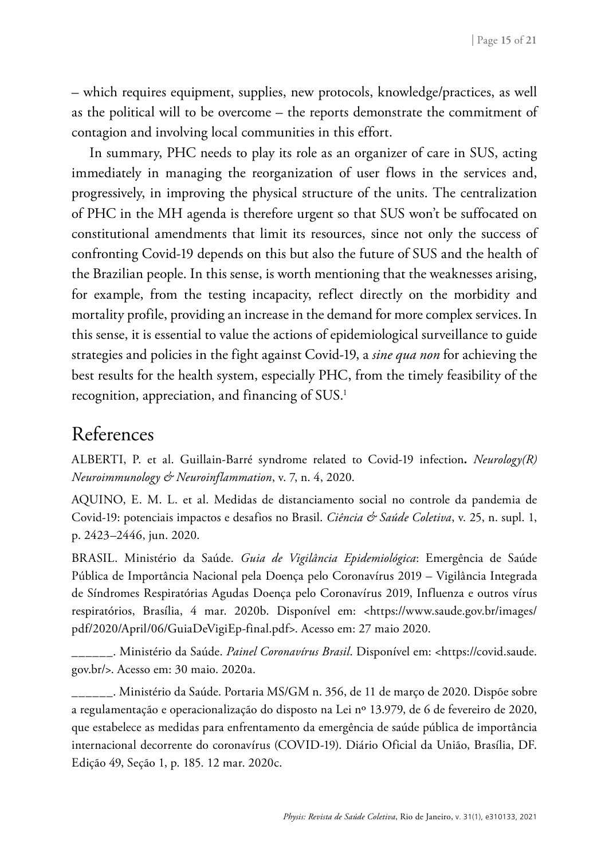– which requires equipment, supplies, new protocols, knowledge/practices, as well as the political will to be overcome – the reports demonstrate the commitment of contagion and involving local communities in this effort.

In summary, PHC needs to play its role as an organizer of care in SUS, acting immediately in managing the reorganization of user flows in the services and, progressively, in improving the physical structure of the units. The centralization of PHC in the MH agenda is therefore urgent so that SUS won't be suffocated on constitutional amendments that limit its resources, since not only the success of confronting Covid-19 depends on this but also the future of SUS and the health of the Brazilian people. In this sense, is worth mentioning that the weaknesses arising, for example, from the testing incapacity, reflect directly on the morbidity and mortality profile, providing an increase in the demand for more complex services. In this sense, it is essential to value the actions of epidemiological surveillance to guide strategies and policies in the fight against Covid-19, a *sine qua non* for achieving the best results for the health system, especially PHC, from the timely feasibility of the recognition, appreciation, and financing of SUS.<sup>1</sup>

## References

ALBERTI, P. et al. Guillain-Barré syndrome related to Covid-19 infection*. Neurology(R) Neuroimmunology & Neuroinflammation*, v. 7, n. 4, 2020.

AQUINO, E. M. L. et al. Medidas de distanciamento social no controle da pandemia de Covid-19: potenciais impactos e desafios no Brasil. *Ciência & Saúde Coletiva*, v. 25, n. supl. 1, p. 2423–2446, jun. 2020.

BRASIL. Ministério da Saúde. *Guia de Vigilância Epidemiológica*: Emergência de Saúde Pública de Importância Nacional pela Doença pelo Coronavírus 2019 – Vigilância Integrada de Síndromes Respiratórias Agudas Doença pelo Coronavírus 2019, Influenza e outros vírus respiratórios, Brasília, 4 mar. 2020b. Disponível em: <https://www.saude.gov.br/images/ pdf/2020/April/06/GuiaDeVigiEp-final.pdf>. Acesso em: 27 maio 2020.

\_\_\_\_\_\_. Ministério da Saúde. *Painel Coronavírus Brasil*. Disponível em: <https://covid.saude. gov.br/>. Acesso em: 30 maio. 2020a.

\_\_\_\_\_\_. Ministério da Saúde. Portaria MS/GM n. 356, de 11 de março de 2020. Dispõe sobre a regulamentação e operacionalização do disposto na Lei nº 13.979, de 6 de fevereiro de 2020, que estabelece as medidas para enfrentamento da emergência de saúde pública de importância internacional decorrente do coronavírus (COVID-19). Diário Oficial da União, Brasília, DF. Edição 49, Seção 1, p. 185. 12 mar. 2020c.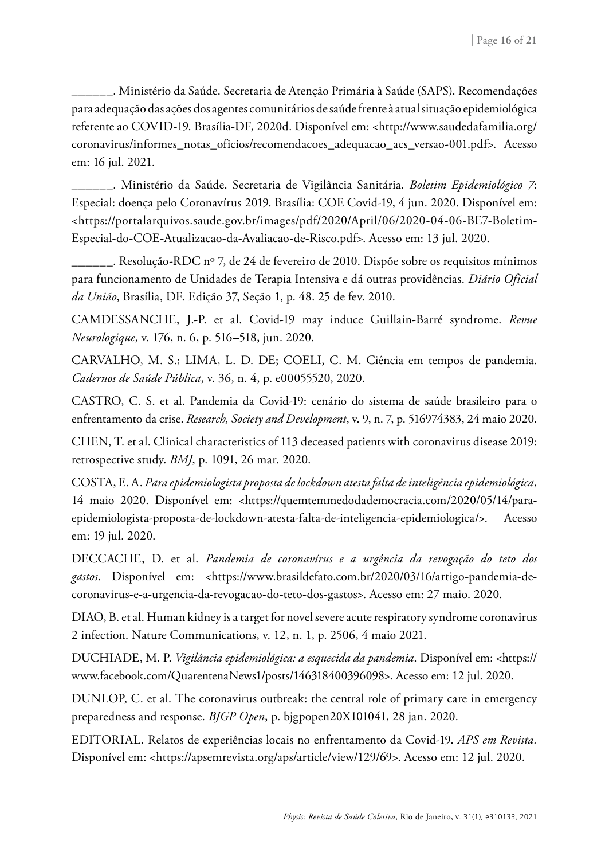\_\_\_\_\_\_. Ministério da Saúde. Secretaria de Atenção Primária à Saúde (SAPS). Recomendações para adequação das ações dos agentes comunitários de saúde frente à atual situação epidemiológica referente ao COVID-19. Brasília-DF, 2020d. Disponível em: <http://www.saudedafamilia.org/ coronavirus/informes\_notas\_oficios/recomendacoes\_adequacao\_acs\_versao-001.pdf>. Acesso em: 16 jul. 2021.

\_\_\_\_\_\_. Ministério da Saúde. Secretaria de Vigilância Sanitária. *Boletim Epidemiológico 7*: Especial: doença pelo Coronavírus 2019. Brasília: COE Covid-19, 4 jun. 2020. Disponível em: <https://portalarquivos.saude.gov.br/images/pdf/2020/April/06/2020-04-06-BE7-Boletim-Especial-do-COE-Atualizacao-da-Avaliacao-de-Risco.pdf>. Acesso em: 13 jul. 2020.

\_\_\_\_\_\_. Resolução-RDC nº 7, de 24 de fevereiro de 2010. Dispõe sobre os requisitos mínimos para funcionamento de Unidades de Terapia Intensiva e dá outras providências. *Diário Oficial da União*, Brasília, DF. Edição 37, Seção 1, p. 48. 25 de fev. 2010.

CAMDESSANCHE, J.-P. et al. Covid-19 may induce Guillain-Barré syndrome. *Revue Neurologique*, v. 176, n. 6, p. 516–518, jun. 2020.

CARVALHO, M. S.; LIMA, L. D. DE; COELI, C. M. Ciência em tempos de pandemia. *Cadernos de Saúde Pública*, v. 36, n. 4, p. e00055520, 2020.

CASTRO, C. S. et al. Pandemia da Covid-19: cenário do sistema de saúde brasileiro para o enfrentamento da crise. *Research, Society and Development*, v. 9, n. 7, p. 516974383, 24 maio 2020.

CHEN, T. et al. Clinical characteristics of 113 deceased patients with coronavirus disease 2019: retrospective study. *BMJ*, p. 1091, 26 mar. 2020.

COSTA, E. A. *Para epidemiologista proposta de lockdown atesta falta de inteligência epidemiológica*, 14 maio 2020. Disponível em: <https://quemtemmedodademocracia.com/2020/05/14/paraepidemiologista-proposta-de-lockdown-atesta-falta-de-inteligencia-epidemiologica/>. Acesso em: 19 jul. 2020.

DECCACHE, D. et al. *Pandemia de coronavírus e a urgência da revogação do teto dos gastos*. Disponível em: <https://www.brasildefato.com.br/2020/03/16/artigo-pandemia-decoronavirus-e-a-urgencia-da-revogacao-do-teto-dos-gastos>. Acesso em: 27 maio. 2020.

DIAO, B. et al. Human kidney is a target for novel severe acute respiratory syndrome coronavirus 2 infection. Nature Communications, v. 12, n. 1, p. 2506, 4 maio 2021.

DUCHIADE, M. P. *Vigilância epidemiológica: a esquecida da pandemia*. Disponível em: <https:// www.facebook.com/QuarentenaNews1/posts/146318400396098>. Acesso em: 12 jul. 2020.

DUNLOP, C. et al. The coronavirus outbreak: the central role of primary care in emergency preparedness and response. *BJGP Open*, p. bjgpopen20X101041, 28 jan. 2020.

EDITORIAL. Relatos de experiências locais no enfrentamento da Covid-19. *APS em Revista.* Disponível em: <https://apsemrevista.org/aps/article/view/129/69>. Acesso em: 12 jul. 2020.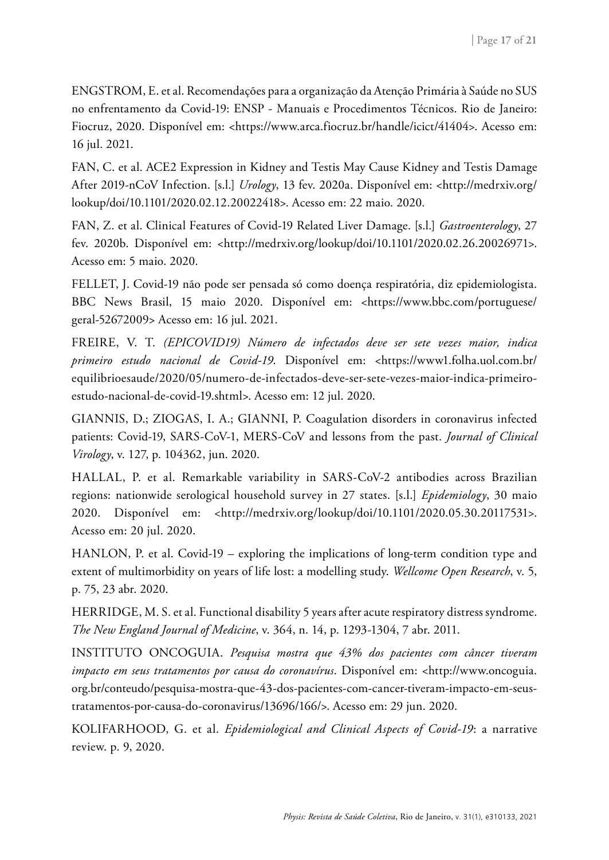ENGSTROM, E. et al. Recomendações para a organização da Atenção Primária à Saúde no SUS no enfrentamento da Covid-19: ENSP - Manuais e Procedimentos Técnicos. Rio de Janeiro: Fiocruz, 2020. Disponível em: <https://www.arca.fiocruz.br/handle/icict/41404>. Acesso em: 16 jul. 2021.

FAN, C. et al. ACE2 Expression in Kidney and Testis May Cause Kidney and Testis Damage After 2019-nCoV Infection. [s.l.] *Urology*, 13 fev. 2020a. Disponível em: <http://medrxiv.org/ lookup/doi/10.1101/2020.02.12.20022418>. Acesso em: 22 maio. 2020.

FAN, Z. et al. Clinical Features of Covid-19 Related Liver Damage. [s.l.] *Gastroenterology*, 27 fev. 2020b. Disponível em: <http://medrxiv.org/lookup/doi/10.1101/2020.02.26.20026971>. Acesso em: 5 maio. 2020.

FELLET, J. Covid-19 não pode ser pensada só como doença respiratória, diz epidemiologista. BBC News Brasil, 15 maio 2020. Disponível em: <https://www.bbc.com/portuguese/ geral-52672009> Acesso em: 16 jul. 2021.

FREIRE, V. T. *(EPICOVID19) Número de infectados deve ser sete vezes maior, indica primeiro estudo nacional de Covid-19*. Disponível em: <https://www1.folha.uol.com.br/ equilibrioesaude/2020/05/numero-de-infectados-deve-ser-sete-vezes-maior-indica-primeiroestudo-nacional-de-covid-19.shtml>. Acesso em: 12 jul. 2020.

GIANNIS, D.; ZIOGAS, I. A.; GIANNI, P. Coagulation disorders in coronavirus infected patients: Covid-19, SARS-CoV-1, MERS-CoV and lessons from the past. *Journal of Clinical Virology*, v. 127, p. 104362, jun. 2020.

HALLAL, P. et al. Remarkable variability in SARS-CoV-2 antibodies across Brazilian regions: nationwide serological household survey in 27 states. [s.l.] *Epidemiology*, 30 maio 2020. Disponível em: <http://medrxiv.org/lookup/doi/10.1101/2020.05.30.20117531>. Acesso em: 20 jul. 2020.

HANLON, P. et al. Covid-19 – exploring the implications of long-term condition type and extent of multimorbidity on years of life lost: a modelling study. *Wellcome Open Research*, v. 5, p. 75, 23 abr. 2020.

HERRIDGE, M. S. et al. Functional disability 5 years after acute respiratory distress syndrome. *The New England Journal of Medicine*, v. 364, n. 14, p. 1293-1304, 7 abr. 2011.

INSTITUTO ONCOGUIA. *Pesquisa mostra que 43% dos pacientes com câncer tiveram impacto em seus tratamentos por causa do coronavírus*. Disponível em: <http://www.oncoguia. org.br/conteudo/pesquisa-mostra-que-43-dos-pacientes-com-cancer-tiveram-impacto-em-seustratamentos-por-causa-do-coronavirus/13696/166/>. Acesso em: 29 jun. 2020.

KOLIFARHOOD, G. et al. *Epidemiological and Clinical Aspects of Covid-19*: a narrative review. p. 9, 2020.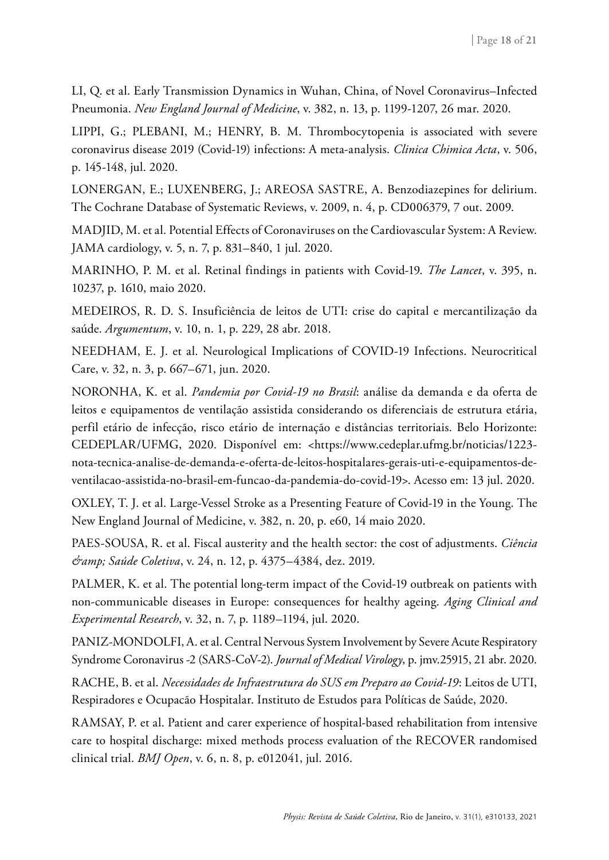LI, Q. et al. Early Transmission Dynamics in Wuhan, China, of Novel Coronavirus–Infected Pneumonia. *New England Journal of Medicine*, v. 382, n. 13, p. 1199-1207, 26 mar. 2020.

LIPPI, G.; PLEBANI, M.; HENRY, B. M. Thrombocytopenia is associated with severe coronavirus disease 2019 (Covid-19) infections: A meta-analysis. *Clinica Chimica Acta*, v. 506, p. 145-148, jul. 2020.

LONERGAN, E.; LUXENBERG, J.; AREOSA SASTRE, A. Benzodiazepines for delirium. The Cochrane Database of Systematic Reviews, v. 2009, n. 4, p. CD006379, 7 out. 2009.

MADJID, M. et al. Potential Effects of Coronaviruses on the Cardiovascular System: A Review. JAMA cardiology, v. 5, n. 7, p. 831–840, 1 jul. 2020.

MARINHO, P. M. et al. Retinal findings in patients with Covid-19. *The Lancet*, v. 395, n. 10237, p. 1610, maio 2020.

MEDEIROS, R. D. S. Insuficiência de leitos de UTI: crise do capital e mercantilização da saúde. *Argumentum*, v. 10, n. 1, p. 229, 28 abr. 2018.

NEEDHAM, E. J. et al. Neurological Implications of COVID-19 Infections. Neurocritical Care, v. 32, n. 3, p. 667–671, jun. 2020.

NORONHA, K. et al. *Pandemia por Covid-19 no Brasil*: análise da demanda e da oferta de leitos e equipamentos de ventilação assistida considerando os diferenciais de estrutura etária, perfil etário de infecção, risco etário de internação e distâncias territoriais. Belo Horizonte: CEDEPLAR/UFMG, 2020. Disponível em: <https://www.cedeplar.ufmg.br/noticias/1223 nota-tecnica-analise-de-demanda-e-oferta-de-leitos-hospitalares-gerais-uti-e-equipamentos-deventilacao-assistida-no-brasil-em-funcao-da-pandemia-do-covid-19>. Acesso em: 13 jul. 2020.

OXLEY, T. J. et al. Large-Vessel Stroke as a Presenting Feature of Covid-19 in the Young. The New England Journal of Medicine, v. 382, n. 20, p. e60, 14 maio 2020.

PAES-SOUSA, R. et al. Fiscal austerity and the health sector: the cost of adjustments. *Ciência & Saúde Coletiva*, v. 24, n. 12, p. 4375–4384, dez. 2019.

PALMER, K. et al. The potential long-term impact of the Covid-19 outbreak on patients with non-communicable diseases in Europe: consequences for healthy ageing. *Aging Clinical and Experimental Research*, v. 32, n. 7, p. 1189–1194, jul. 2020.

PANIZ-MONDOLFI, A. et al. Central Nervous System Involvement by Severe Acute Respiratory Syndrome Coronavirus -2 (SARS-CoV-2). *Journal of Medical Virology*, p. jmv.25915, 21 abr. 2020.

RACHE, B. et al. *Necessidades de Infraestrutura do SUS em Preparo ao Covid-19*: Leitos de UTI, Respiradores e Ocupacão Hospitalar. Instituto de Estudos para Políticas de Saúde, 2020.

RAMSAY, P. et al. Patient and carer experience of hospital-based rehabilitation from intensive care to hospital discharge: mixed methods process evaluation of the RECOVER randomised clinical trial. *BMJ Open*, v. 6, n. 8, p. e012041, jul. 2016.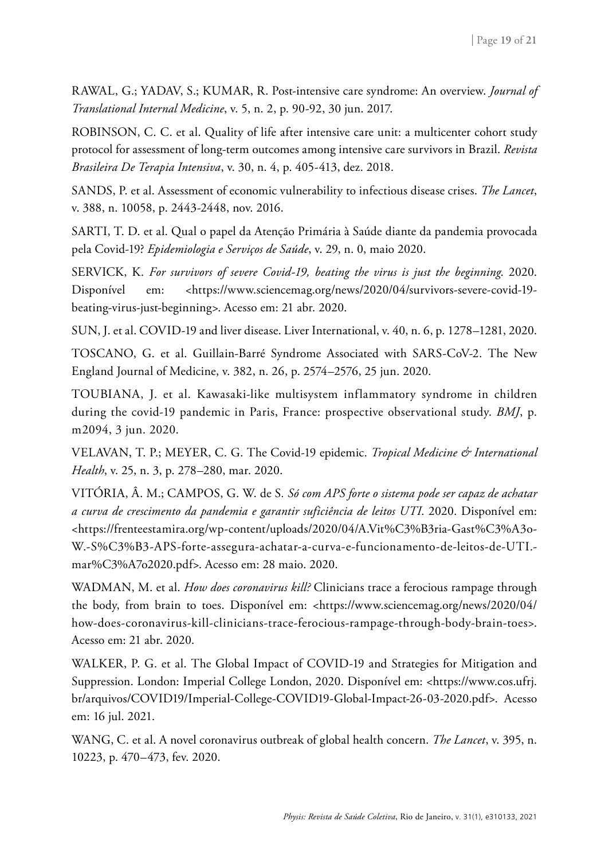RAWAL, G.; YADAV, S.; KUMAR, R. Post-intensive care syndrome: An overview. *Journal of Translational Internal Medicine*, v. 5, n. 2, p. 90-92, 30 jun. 2017.

ROBINSON, C. C. et al. Quality of life after intensive care unit: a multicenter cohort study protocol for assessment of long-term outcomes among intensive care survivors in Brazil. *Revista Brasileira De Terapia Intensiva*, v. 30, n. 4, p. 405-413, dez. 2018.

SANDS, P. et al. Assessment of economic vulnerability to infectious disease crises. *The Lancet*, v. 388, n. 10058, p. 2443-2448, nov. 2016.

SARTI, T. D. et al. Qual o papel da Atenção Primária à Saúde diante da pandemia provocada pela Covid-19? *Epidemiologia e Serviços de Saúde*, v. 29, n. 0, maio 2020.

SERVICK, K. *For survivors of severe Covid-19, beating the virus is just the beginning*. 2020. Disponível em: <https://www.sciencemag.org/news/2020/04/survivors-severe-covid-19 beating-virus-just-beginning>. Acesso em: 21 abr. 2020.

SUN, J. et al. COVID-19 and liver disease. Liver International, v. 40, n. 6, p. 1278–1281, 2020.

TOSCANO, G. et al. Guillain-Barré Syndrome Associated with SARS-CoV-2. The New England Journal of Medicine, v. 382, n. 26, p. 2574–2576, 25 jun. 2020.

TOUBIANA, J. et al. Kawasaki-like multisystem inflammatory syndrome in children during the covid-19 pandemic in Paris, France: prospective observational study. *BMJ*, p. m2094, 3 jun. 2020.

VELAVAN, T. P.; MEYER, C. G. The Covid-19 epidemic. *Tropical Medicine & International Health*, v. 25, n. 3, p. 278–280, mar. 2020.

VITÓRIA, Â. M.; CAMPOS, G. W. de S*. Só com APS forte o sistema pode ser capaz de achatar a curva de crescimento da pandemia e garantir suficiência de leitos UTI*. 2020. Disponível em: <https://frenteestamira.org/wp-content/uploads/2020/04/A.Vit%C3%B3ria-Gast%C3%A3o-W.-S%C3%B3-APS-forte-assegura-achatar-a-curva-e-funcionamento-de-leitos-de-UTI. mar%C3%A7o2020.pdf>. Acesso em: 28 maio. 2020.

WADMAN, M. et al. *How does coronavirus kill?* Clinicians trace a ferocious rampage through the body, from brain to toes. Disponível em: <https://www.sciencemag.org/news/2020/04/ how-does-coronavirus-kill-clinicians-trace-ferocious-rampage-through-body-brain-toes>. Acesso em: 21 abr. 2020.

WALKER, P. G. et al. The Global Impact of COVID-19 and Strategies for Mitigation and Suppression. London: Imperial College London, 2020. Disponível em: <https://www.cos.ufrj. br/arquivos/COVID19/Imperial-College-COVID19-Global-Impact-26-03-2020.pdf>. Acesso em: 16 jul. 2021.

WANG, C. et al. A novel coronavirus outbreak of global health concern. *The Lancet*, v. 395, n. 10223, p. 470–473, fev. 2020.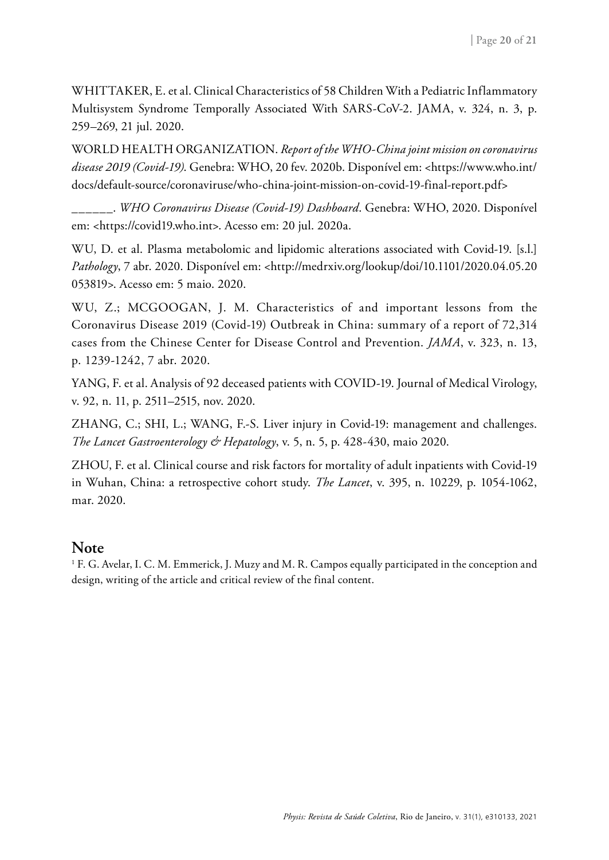WHITTAKER, E. et al. Clinical Characteristics of 58 Children With a Pediatric Inflammatory Multisystem Syndrome Temporally Associated With SARS-CoV-2. JAMA, v. 324, n. 3, p. 259–269, 21 jul. 2020.

WORLD HEALTH ORGANIZATION. *Report of the WHO-China joint mission on coronavirus disease 2019 (Covid-19)*. Genebra: WHO, 20 fev. 2020b. Disponível em: <https://www.who.int/ docs/default-source/coronaviruse/who-china-joint-mission-on-covid-19-final-report.pdf>

\_\_\_\_\_\_. *WHO Coronavirus Disease (Covid-19) Dashboard*. Genebra: WHO, 2020. Disponível em: <https://covid19.who.int>. Acesso em: 20 jul. 2020a.

WU, D. et al. Plasma metabolomic and lipidomic alterations associated with Covid-19. [s.l.] *Pathology*, 7 abr. 2020. Disponível em: <http://medrxiv.org/lookup/doi/10.1101/2020.04.05.20 053819>. Acesso em: 5 maio. 2020.

WU, Z.; MCGOOGAN, J. M. Characteristics of and important lessons from the Coronavirus Disease 2019 (Covid-19) Outbreak in China: summary of a report of 72,314 cases from the Chinese Center for Disease Control and Prevention. *JAMA*, v. 323, n. 13, p. 1239-1242, 7 abr. 2020.

YANG, F. et al. Analysis of 92 deceased patients with COVID-19. Journal of Medical Virology, v. 92, n. 11, p. 2511–2515, nov. 2020.

ZHANG, C.; SHI, L.; WANG, F.-S. Liver injury in Covid-19: management and challenges. *The Lancet Gastroenterology & Hepatology*, v. 5, n. 5, p. 428-430, maio 2020.

ZHOU, F. et al. Clinical course and risk factors for mortality of adult inpatients with Covid-19 in Wuhan, China: a retrospective cohort study. *The Lancet*, v. 395, n. 10229, p. 1054-1062, mar. 2020.

#### **Note**

1 F. G. Avelar, I. C. M. Emmerick, J. Muzy and M. R. Campos equally participated in the conception and design, writing of the article and critical review of the final content.